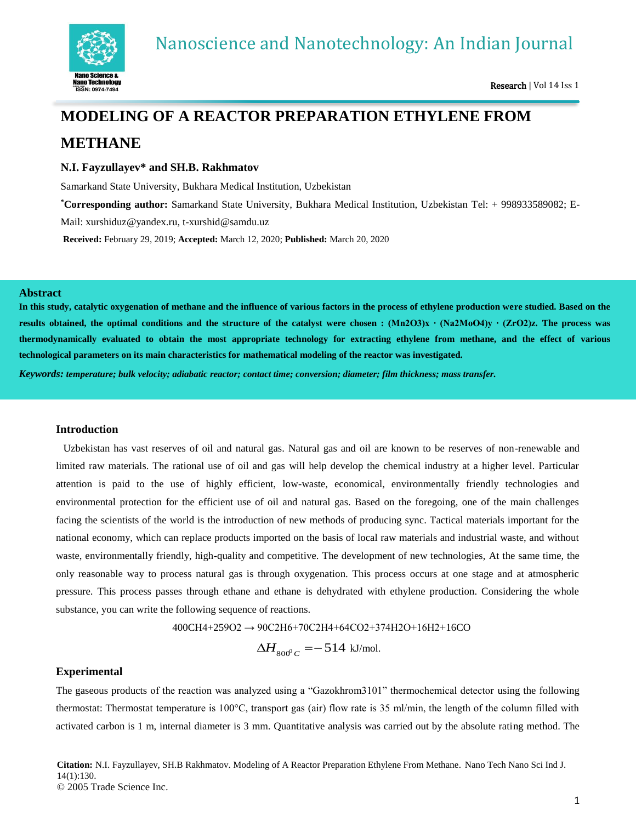

# **MODELING OF A REACTOR PREPARATION ETHYLENE FROM METHANE**

# **N.I. Fayzullayev\* and SH.B. Rakhmatov**

Samarkand State University, Bukhara Medical Institution, Uzbekistan

**\*Corresponding author:** Samarkand State University, Bukhara Medical Institution, Uzbekistan Tel: + 998933589082; E-

Mail: [xurshiduz@yandex.ru,](mailto:xurshiduz@yandex.ru) t-xurshid@samdu.uz

**Received:** February 29, 2019; **Accepted:** March 12, 2020; **Published:** March 20, 2020

## **Abstract**

**In this study, catalytic oxygenation of methane and the influence of various factors in the process of ethylene production were studied. Based on the results obtained, the optimal conditions and the structure of the catalyst were chosen : (Mn2O3)x ∙ (Na2MoO4)y ∙ (ZrO2)z. The process was thermodynamically evaluated to obtain the most appropriate technology for extracting ethylene from methane, and the effect of various technological parameters on its main characteristics for mathematical modeling of the reactor was investigated.**

*Keywords: temperature; bulk velocity; adiabatic reactor; contact time; conversion; diameter; film thickness; mass transfer.*

## **Introduction**

Uzbekistan has vast reserves of oil and natural gas. Natural gas and oil are known to be reserves of non-renewable and limited raw materials. The rational use of oil and gas will help develop the chemical industry at a higher level. Particular attention is paid to the use of highly efficient, low-waste, economical, environmentally friendly technologies and environmental protection for the efficient use of oil and natural gas. Based on the foregoing, one of the main challenges facing the scientists of the world is the introduction of new methods of producing sync. Tactical materials important for the national economy, which can replace products imported on the basis of local raw materials and industrial waste, and without waste, environmentally friendly, high-quality and competitive. The development of new technologies, At the same time, the only reasonable way to process natural gas is through oxygenation. This process occurs at one stage and at atmospheric pressure. This process passes through ethane and ethane is dehydrated with ethylene production. Considering the whole substance, you can write the following sequence of reactions.

400CH4+259O2 → 90C2H6+70C2H4+64CO2+374H2O+16H2+16CO

 $\Delta H_{_{800^0}C} = -\,514\,$  kJ/mol.

## **Experimental**

The gaseous products of the reaction was analyzed using a "Gazokhrom3101" thermochemical detector using the following thermostat: Thermostat temperature is 100°С, transport gas (air) flow rate is 35 ml/min, the length of the column filled with activated carbon is 1 m, internal diameter is 3 mm. Quantitative analysis was carried out by the absolute rating method. The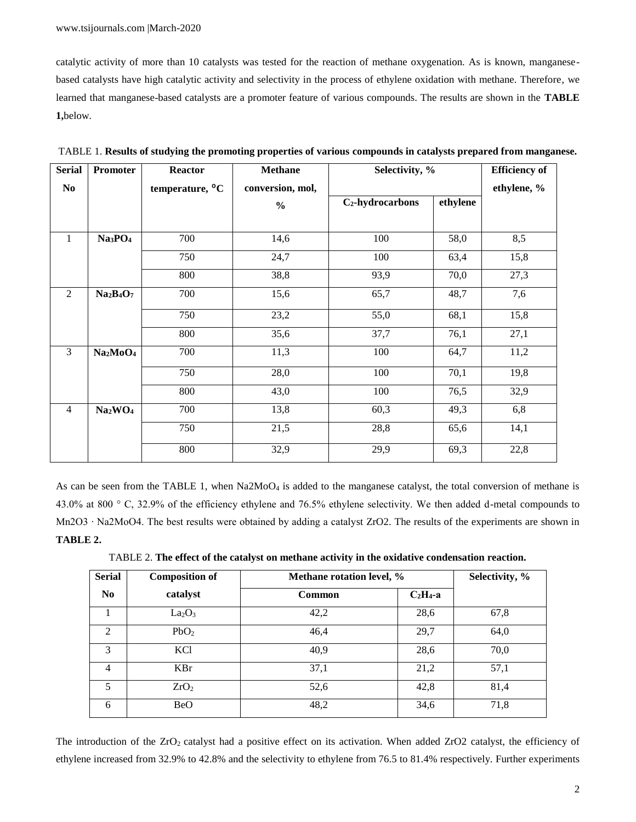catalytic activity of more than 10 catalysts was tested for the reaction of methane oxygenation. As is known, manganesebased catalysts have high catalytic activity and selectivity in the process of ethylene oxidation with methane. Therefore, we learned that manganese-based catalysts are a promoter feature of various compounds. The results are shown in the **TABLE 1,**below.

| <b>Serial</b>  | Promoter                         | <b>Reactor</b>              | <b>Methane</b>   | Selectivity, %               |          | <b>Efficiency</b> of |
|----------------|----------------------------------|-----------------------------|------------------|------------------------------|----------|----------------------|
| No             |                                  | temperature, <sup>o</sup> C | conversion, mol, |                              |          |                      |
|                |                                  |                             | $\frac{0}{0}$    | C <sub>2</sub> -hydrocarbons | ethylene |                      |
|                |                                  |                             |                  |                              |          |                      |
| $\mathbf{1}$   | Na3PO4                           | 700                         | 14,6             | 100                          | 58,0     | 8,5                  |
|                |                                  | 750                         | 24,7             | 100                          | 63,4     | 15,8                 |
|                |                                  | 800                         | 38,8             | 93,9                         | 70,0     | 27,3                 |
| $\overline{2}$ | $Na2B4O7$                        | 700                         | 15,6             | 65,7                         | 48,7     | 7,6                  |
|                |                                  | 750                         | 23,2             | 55,0                         | 68,1     | 15,8                 |
|                |                                  | 800                         | 35,6             | 37,7                         | 76,1     | 27,1                 |
| $\overline{3}$ | Na <sub>2</sub> MoO <sub>4</sub> | 700                         | 11,3             | 100                          | 64,7     | 11,2                 |
|                |                                  | 750                         | 28,0             | 100                          | 70,1     | 19,8                 |
|                |                                  | 800                         | 43,0             | 100                          | 76,5     | 32,9                 |
| $\overline{4}$ | Na <sub>2</sub> WO <sub>4</sub>  | 700                         | 13,8             | 60,3                         | 49,3     | 6,8                  |
|                |                                  | 750                         | 21,5             | 28,8                         | 65,6     | 14,1                 |
|                |                                  | 800                         | 32,9             | 29,9                         | 69,3     | 22,8                 |

TABLE 1. **Results of studying the promoting properties of various compounds in catalysts prepared from manganese.**

As can be seen from the TABLE 1, when  $Na2MoO<sub>4</sub>$  is added to the manganese catalyst, the total conversion of methane is 43.0% at 800 ° С, 32.9% of the efficiency ethylene and 76.5% ethylene selectivity. We then added d-metal compounds to Mn2O3 ⋅ Na2MoO4. The best results were obtained by adding a catalyst ZrO2. The results of the experiments are shown in **TABLE 2.**

TABLE 2. **The effect of the catalyst on methane activity in the oxidative condensation reaction.**

| <b>Serial</b><br><b>Composition of</b> |                                | Methane rotation level, % | Selectivity, % |      |
|----------------------------------------|--------------------------------|---------------------------|----------------|------|
| $\bf No$                               | catalyst                       | <b>Common</b>             | $C_2H_4$ -a    |      |
|                                        | La <sub>2</sub> O <sub>3</sub> | 42,2                      | 28,6           | 67,8 |
| $\mathfrak{D}$                         | PbO <sub>2</sub>               | 46,4                      | 29,7           | 64,0 |
| 3                                      | KC <sub>1</sub>                | 40,9                      | 28,6           | 70,0 |
| $\overline{4}$                         | KBr                            | 37,1                      | 21,2           | 57,1 |
| 5                                      | ZrO <sub>2</sub>               | 52,6                      | 42,8           | 81,4 |
| 6                                      | <b>BeO</b>                     | 48,2                      | 34,6           | 71,8 |

The introduction of the ZrO<sub>2</sub> catalyst had a positive effect on its activation. When added ZrO2 catalyst, the efficiency of ethylene increased from 32.9% to 42.8% and the selectivity to ethylene from 76.5 to 81.4% respectively. Further experiments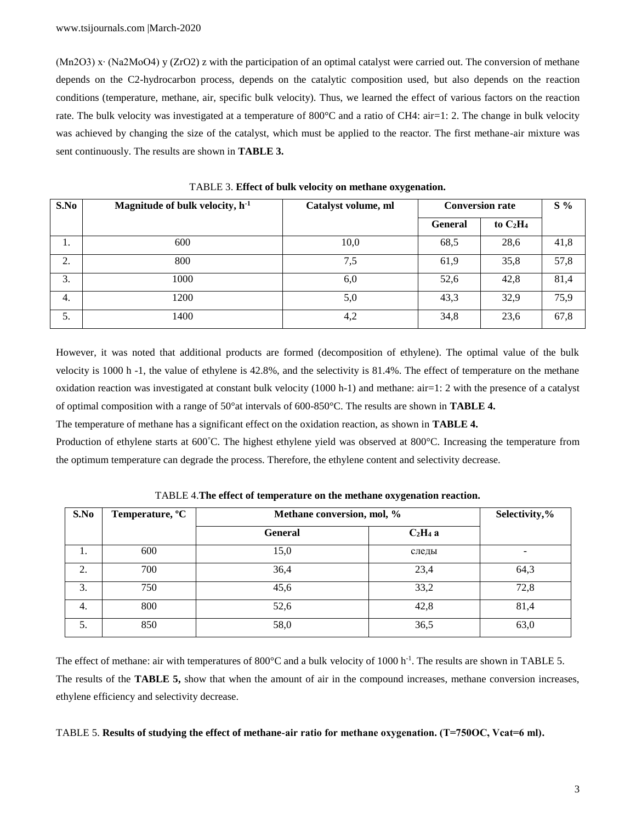(Mn2O3) x∙ (Na2MoO4) y (ZrO2) z with the participation of an optimal catalyst were carried out. The conversion of methane depends on the C2-hydrocarbon process, depends on the catalytic composition used, but also depends on the reaction conditions (temperature, methane, air, specific bulk velocity). Thus, we learned the effect of various factors on the reaction rate. The bulk velocity was investigated at a temperature of 800°C and a ratio of CH4: air=1: 2. The change in bulk velocity was achieved by changing the size of the catalyst, which must be applied to the reactor. The first methane-air mixture was sent continuously. The results are shown in **TABLE 3.**

| S.No | Magnitude of bulk velocity, $h^{-1}$ | Catalyst volume, ml | <b>Conversion rate</b> | $S\%$       |      |
|------|--------------------------------------|---------------------|------------------------|-------------|------|
|      |                                      |                     | <b>General</b>         | to $C_2H_4$ |      |
| 1.   | 600                                  | 10,0                | 68,5                   | 28,6        | 41,8 |
| 2.   | 800                                  | 7,5                 | 61,9                   | 35,8        | 57,8 |
| 3.   | 1000                                 | 6,0                 | 52,6                   | 42.8        | 81,4 |
| 4.   | 1200                                 | 5,0                 | 43,3                   | 32,9        | 75,9 |
| 5.   | 1400                                 | 4,2                 | 34,8                   | 23,6        | 67,8 |

TABLE 3. **Effect of bulk velocity on methane oxygenation.**

However, it was noted that additional products are formed (decomposition of ethylene). The optimal value of the bulk velocity is 1000 h -1, the value of ethylene is 42.8%, and the selectivity is 81.4%. The effect of temperature on the methane oxidation reaction was investigated at constant bulk velocity (1000 h-1) and methane: air=1: 2 with the presence of a catalyst of optimal composition with a range of 50°at intervals of 600-850°C. The results are shown in **TABLE 4.**

The temperature of methane has a significant effect on the oxidation reaction, as shown in **TABLE 4.**

Production of ethylene starts at 600°C. The highest ethylene yield was observed at 800°C. Increasing the temperature from the optimum temperature can degrade the process. Therefore, the ethylene content and selectivity decrease.

| S.No | Temperature, <sup>o</sup> C |                | Methane conversion, mol, % |      |
|------|-----------------------------|----------------|----------------------------|------|
|      |                             | <b>General</b> | $C2H4$ a                   |      |
|      | 600                         | 15,0           | следы                      |      |
| 2.   | 700                         | 36,4           | 23,4                       | 64,3 |
| 3.   | 750                         | 45,6           | 33,2                       | 72,8 |
| -4.  | 800                         | 52,6           | 42,8                       | 81,4 |
| 5.   | 850                         | 58,0           | 36,5                       | 63,0 |

TABLE 4.**The effect of temperature on the methane oxygenation reaction.**

The effect of methane: air with temperatures of 800°C and a bulk velocity of 1000 h<sup>-1</sup>. The results are shown in TABLE 5. The results of the **TABLE 5,** show that when the amount of air in the compound increases, methane conversion increases, ethylene efficiency and selectivity decrease.

## TABLE 5. **Results of studying the effect of methane-air ratio for methane oxygenation. (T=750ОС, Vcat=6 ml).**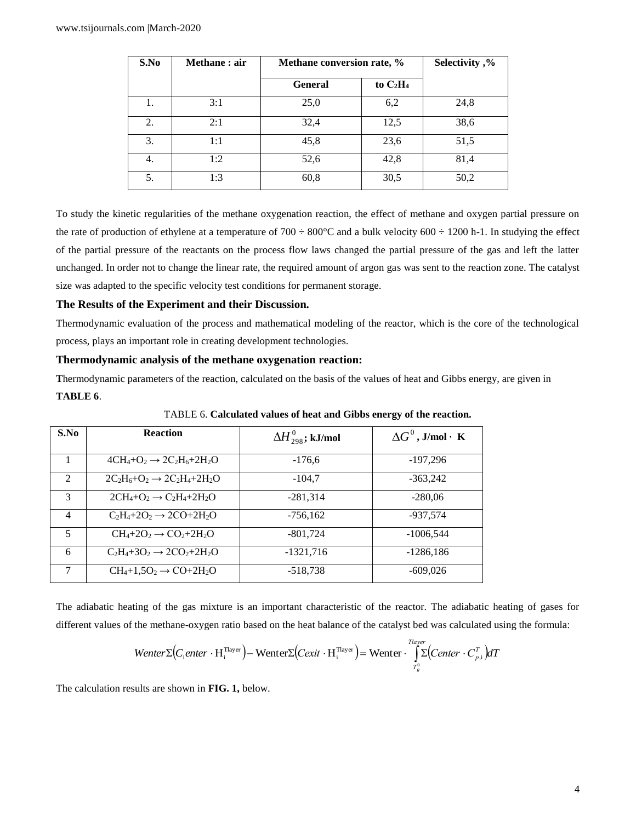| S.No | Methane: air | Methane conversion rate, % |             | Selectivity,% |
|------|--------------|----------------------------|-------------|---------------|
|      |              | <b>General</b>             | to $C_2H_4$ |               |
| 1.   | 3:1          | 25,0                       | 6,2         | 24,8          |
| 2.   | 2:1          | 32,4                       | 12,5        | 38,6          |
| 3.   | 1:1          | 45,8                       | 23,6        | 51,5          |
| 4.   | 1:2          | 52,6                       | 42,8        | 81,4          |
| 5.   | 1:3          | 60,8                       | 30,5        | 50,2          |

To study the kinetic regularities of the methane oxygenation reaction, the effect of methane and oxygen partial pressure on the rate of production of ethylene at a temperature of  $700 \div 800^{\circ}$ C and a bulk velocity  $600 \div 1200$  h-1. In studying the effect of the partial pressure of the reactants on the process flow laws changed the partial pressure of the gas and left the latter unchanged. In order not to change the linear rate, the required amount of argon gas was sent to the reaction zone. The catalyst size was adapted to the specific velocity test conditions for permanent storage.

#### **The Results of the Experiment and their Discussion.**

Thermodynamic evaluation of the process and mathematical modeling of the reactor, which is the core of the technological process, plays an important role in creating development technologies.

# **Thermodynamic analysis of the methane oxygenation reaction:**

**T**hermodynamic parameters of the reaction, calculated on the basis of the values of heat and Gibbs energy, are given in **TABLE 6**.

| S.No                        | <b>Reaction</b>                         | $\Delta H_{298}^{0}$ ; kJ/mol | $\Delta G^0$ , J/mol·K |
|-----------------------------|-----------------------------------------|-------------------------------|------------------------|
|                             | $4CH_4+O_2 \rightarrow 2C_2H_6+2H_2O$   | $-176.6$                      | $-197,296$             |
| $\mathcal{D}_{\mathcal{L}}$ | $2C_2H_6+O_2 \rightarrow 2C_2H_4+2H_2O$ | $-104.7$                      | $-363,242$             |
| 3                           | $2CH_4+O_2 \rightarrow C_2H_4+2H_2O$    | $-281,314$                    | $-280.06$              |
| $\overline{4}$              | $C_2H_4+2O_2 \rightarrow 2CO+2H_2O$     | $-756.162$                    | $-937.574$             |
| 5                           | $CH_4+2O_2 \rightarrow CO_2+2H_2O$      | $-801,724$                    | $-1006,544$            |
| 6                           | $C_2H_4+3O_2 \rightarrow 2CO_2+2H_2O$   | $-1321,716$                   | $-1286,186$            |
| 7                           | $CH_4+1,5O_2 \rightarrow CO+2H_2O$      | $-518,738$                    | $-609,026$             |

TABLE 6. **Calculated values of heat and Gibbs energy of the reaction.**

The adiabatic heating of the gas mixture is an important characteristic of the reactor. The adiabatic heating of gases for different values of the methane-oxygen ratio based on the heat balance of the catalyst bed was calculated using the formula:

$$
Wenter \Sigma (C_i enter \cdot H_i^{Tlayer}) - Wenter \Sigma (Cexit \cdot H_i^{Tlayer}) = Wenter \cdot \int_{T_g^0}^{Tlayer} (Center \cdot C_{p,i}^T) dT
$$

The calculation results are shown in **FIG. 1,** below.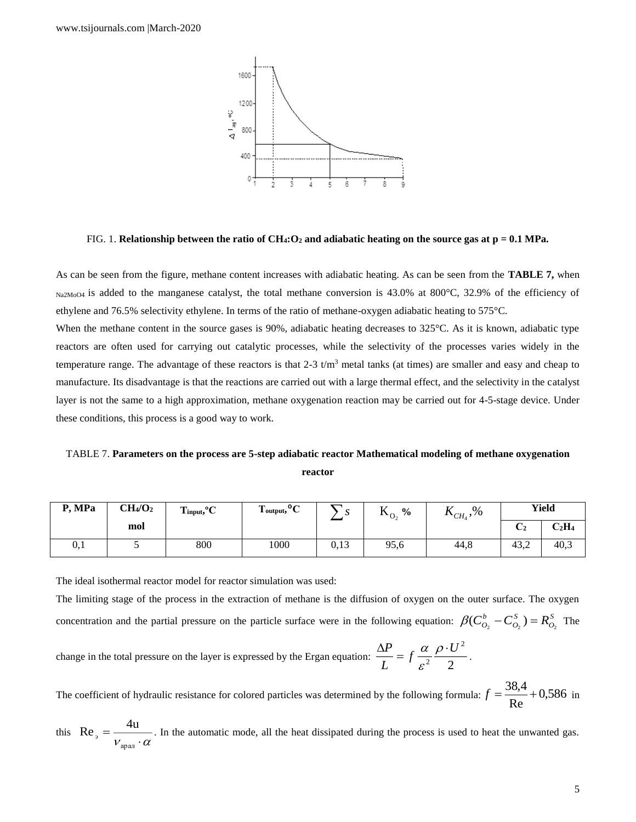

FIG. 1. **Relationship between the ratio of CH4:O<sup>2</sup> and adiabatic heating on the source gas at p = 0.1 MPa.**

As can be seen from the figure, methane content increases with adiabatic heating. As can be seen from the **TABLE 7,** when  $N_{\alpha}$ 2M<sub>0O4</sub> is added to the manganese catalyst, the total methane conversion is 43.0% at 800°C, 32.9% of the efficiency of ethylene and 76.5% selectivity ethylene. In terms of the ratio of methane-oxygen adiabatic heating to 575°C.

When the methane content in the source gases is 90%, adiabatic heating decreases to 325°C. As it is known, adiabatic type reactors are often used for carrying out catalytic processes, while the selectivity of the processes varies widely in the temperature range. The advantage of these reactors is that  $2-3$  t/m<sup>3</sup> metal tanks (at times) are smaller and easy and cheap to manufacture. Its disadvantage is that the reactions are carried out with a large thermal effect, and the selectivity in the catalyst layer is not the same to a high approximation, methane oxygenation reaction may be carried out for 4-5-stage device. Under these conditions, this process is a good way to work.

TABLE 7. **Parameters on the process are 5-step adiabatic reactor Mathematical modeling of methane oxygenation reactor**

| P, MPa | CH <sub>4</sub> /O <sub>2</sub> | 0 <sup>o</sup><br>$\mathbf{r}$<br>$\blacksquare$ input, $\blacksquare$ | $\sim$<br>m<br>output,<br>◡ | ມ    | T.T<br>$\frac{6}{10}$<br>$\mathbf{r}^{0}$ | $K_{CH_4}$ ,% |               | <b>Yield</b>  |
|--------|---------------------------------|------------------------------------------------------------------------|-----------------------------|------|-------------------------------------------|---------------|---------------|---------------|
|        | mol                             |                                                                        |                             |      |                                           |               | $\mathsf{L}2$ | $\rm{C_2H_4}$ |
| v, 1   |                                 | 800                                                                    | 1000                        | 0,13 | 95,6                                      | 44,8          | 43,2          | 40,3          |

The ideal isothermal reactor model for reactor simulation was used:

The limiting stage of the process in the extraction of methane is the diffusion of oxygen on the outer surface. The oxygen concentration and the partial pressure on the particle surface were in the following equation:  $\beta(C_{\alpha}^{b} - C_{\alpha}^{s}) = R_{\alpha}^{s}$ *O S*  $\beta(C_{O_2}^b - C_{O_2}^S) = R_{O_2}^S$  The

change in the total pressure on the layer is expressed by the Ergan equation:  $\frac{du}{dx} = f \frac{dv}{g^2} + \frac{g^2}{2}$ 2 2  $\frac{\Delta P}{L} = f \frac{\alpha}{\varepsilon^2} \frac{\rho \cdot U}{2}$  $\frac{\Delta P}{\rho} = f \frac{\alpha}{\rho} \frac{\rho}{\rho}$ ε  $\frac{\alpha}{2} \frac{\rho \cdot U^2}{2}$ .

The coefficient of hydraulic resistance for colored particles was determined by the following formula:  $f = \frac{1}{\text{Re}} + 0.586$  $f = \frac{38.4}{2} + 0.586$  in

this  $\text{Re}_s = \frac{a}{v_{\text{max}} \cdot \alpha}$ = арал  $Re<sub>2</sub> = \frac{4u}{\sqrt{1 - \frac{u_{\text{max}}^2}{n}}$ . In the automatic mode, all the heat dissipated during the process is used to heat the unwanted gas.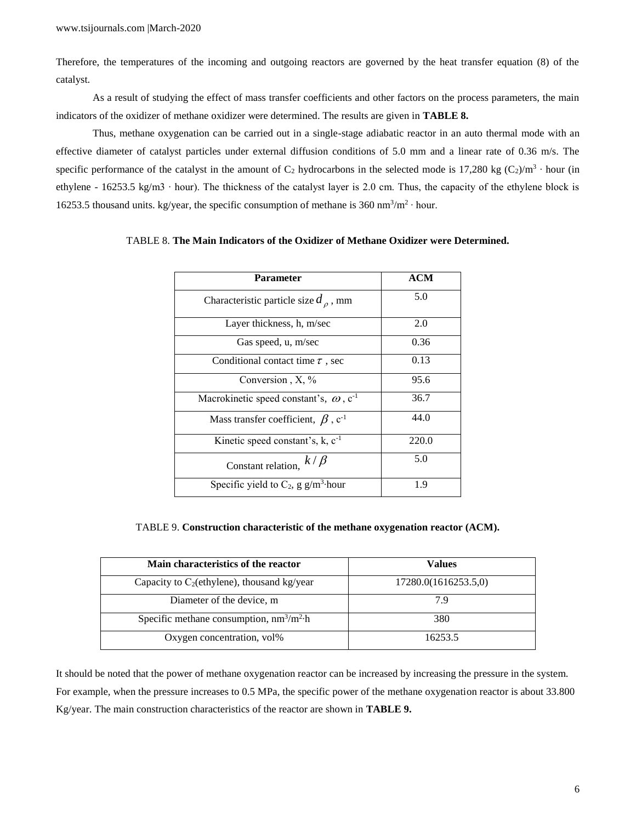Therefore, the temperatures of the incoming and outgoing reactors are governed by the heat transfer equation (8) of the catalyst.

As a result of studying the effect of mass transfer coefficients and other factors on the process parameters, the main indicators of the oxidizer of methane oxidizer were determined. The results are given in **TABLE 8.**

Thus, methane oxygenation can be carried out in a single-stage adiabatic reactor in an auto thermal mode with an effective diameter of catalyst particles under external diffusion conditions of 5.0 mm and a linear rate of 0.36 m/s. The specific performance of the catalyst in the amount of  $C_2$  hydrocarbons in the selected mode is 17,280 kg  $(C_2)/m^3 \cdot$  hour (in ethylene - 16253.5 kg/m3 ∙ hour). The thickness of the catalyst layer is 2.0 cm. Thus, the capacity of the ethylene block is 16253.5 thousand units. kg/year, the specific consumption of methane is  $360 \text{ nm}^3/\text{m}^2 \cdot \text{hour}$ .

| <b>Parameter</b>                                          | <b>ACM</b> |
|-----------------------------------------------------------|------------|
| Characteristic particle size $d_{\rho}$ , mm              | 5.0        |
| Layer thickness, h, m/sec                                 | 2.0        |
| Gas speed, u, m/sec                                       | 0.36       |
| Conditional contact time $\tau$ , sec                     | 0.13       |
| Conversion, $X, \%$                                       | 95.6       |
| Macrokinetic speed constant's, $\omega$ , c <sup>-1</sup> | 36.7       |
| Mass transfer coefficient, $\beta$ , c <sup>-1</sup>      | 44.0       |
| Kinetic speed constant's, $k$ , $c^{-1}$                  | 220.0      |
| $k/\beta$<br>Constant relation,                           | 5.0        |
| Specific yield to $C_2$ , g g/m <sup>3</sup> hour         | 1.9        |

# TABLE 8. **The Main Indicators of the Oxidizer of Methane Oxidizer were Determined.**

TABLE 9. **Construction characteristic of the methane oxygenation reactor (ACM).**

| Main characteristics of the reactor            | Values               |
|------------------------------------------------|----------------------|
| Capacity to $C_2$ (ethylene), thousand kg/year | 17280.0(1616253.5,0) |
| Diameter of the device, m                      | 7.9                  |
| Specific methane consumption, $nm^3/m^2$ h     | 380                  |
| Oxygen concentration, vol%                     | 16253.5              |

It should be noted that the power of methane oxygenation reactor can be increased by increasing the pressure in the system. For example, when the pressure increases to 0.5 MPa, the specific power of the methane oxygenation reactor is about 33.800 Kg/year. The main construction characteristics of the reactor are shown in **TABLE 9.**